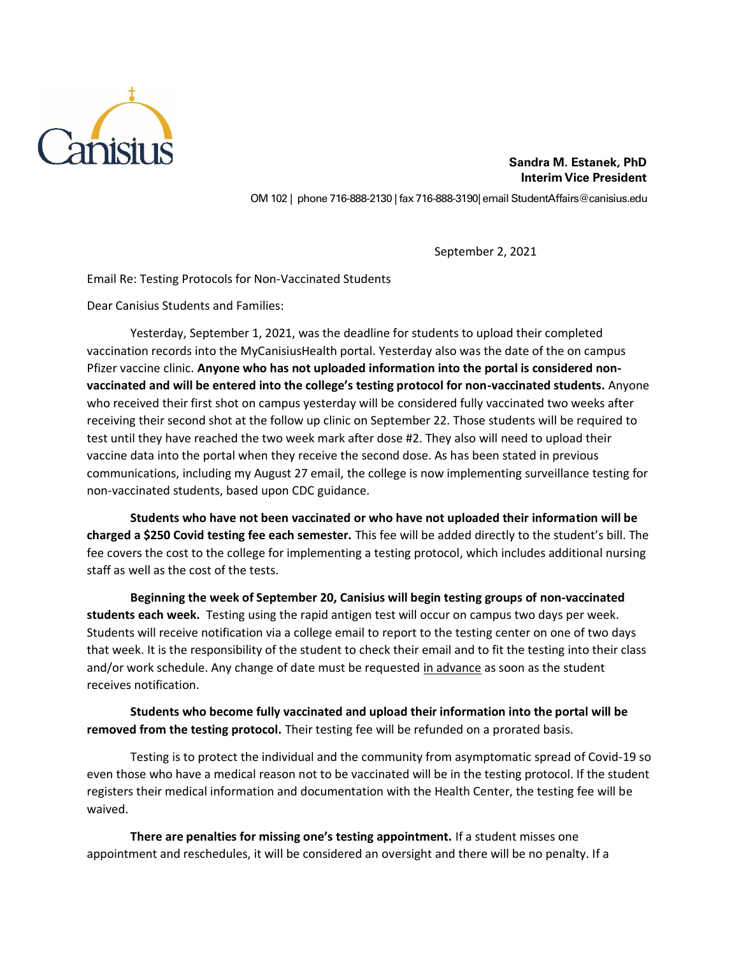

OM 102 | phone 716-888-2130 | fax 716-888-3190| email StudentAffairs@canisius.edu

September 2, 2021

Email Re: Testing Protocols for Non-Vaccinated Students

Dear Canisius Students and Families:

Yesterday, September 1, 2021, was the deadline for students to upload their completed vaccination records into the MyCanisiusHealth portal. Yesterday also was the date of the on campus Pfizer vaccine clinic. **Anyone who has not uploaded information into the portal is considered nonvaccinated and will be entered into the college's testing protocol for non-vaccinated students.** Anyone who received their first shot on campus yesterday will be considered fully vaccinated two weeks after receiving their second shot at the follow up clinic on September 22. Those students will be required to test until they have reached the two week mark after dose #2. They also will need to upload their vaccine data into the portal when they receive the second dose. As has been stated in previous communications, including my August 27 email, the college is now implementing surveillance testing for non-vaccinated students, based upon CDC guidance.

**Students who have not been vaccinated or who have not uploaded their information will be charged a \$250 Covid testing fee each semester.** This fee will be added directly to the student's bill. The fee covers the cost to the college for implementing a testing protocol, which includes additional nursing staff as well as the cost of the tests.

**Beginning the week of September 20, Canisius will begin testing groups of non-vaccinated students each week.** Testing using the rapid antigen test will occur on campus two days per week. Students will receive notification via a college email to report to the testing center on one of two days that week. It is the responsibility of the student to check their email and to fit the testing into their class and/or work schedule. Any change of date must be requested in advance as soon as the student receives notification.

**Students who become fully vaccinated and upload their information into the portal will be removed from the testing protocol.** Their testing fee will be refunded on a prorated basis.

Testing is to protect the individual and the community from asymptomatic spread of Covid-19 so even those who have a medical reason not to be vaccinated will be in the testing protocol. If the student registers their medical information and documentation with the Health Center, the testing fee will be waived.

**There are penalties for missing one's testing appointment.** If a student misses one appointment and reschedules, it will be considered an oversight and there will be no penalty. If a